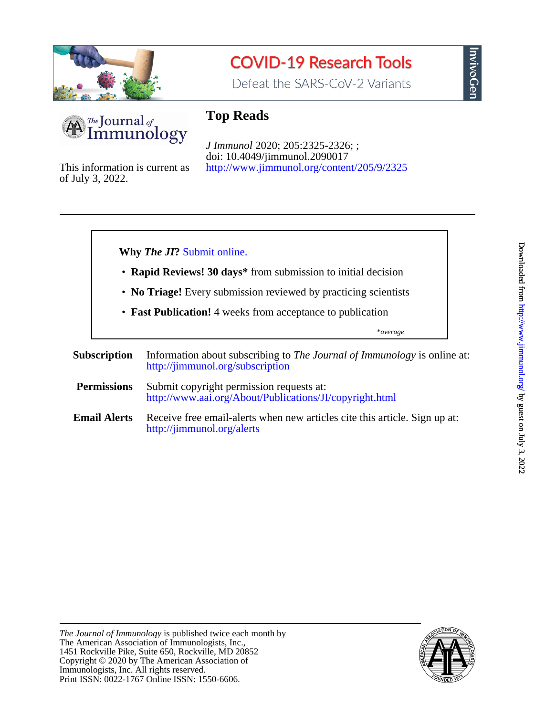

# **COVID-19 Research Tools**

Defeat the SARS-CoV-2 Variants



# **Top Reads**

<http://www.jimmunol.org/content/205/9/2325> doi: 10.4049/jimmunol.2090017 *J Immunol* 2020; 205:2325-2326; ;

of July 3, 2022. This information is current as

#### **Why** *The JI***?** [Submit online.](https://ji.msubmit.net)

- **Rapid Reviews! 30 days\*** from submission to initial decision
- **No Triage!** Every submission reviewed by practicing scientists
- **Fast Publication!** 4 weeks from acceptance to publication

\**average*

- **Subscription** <http://jimmunol.org/subscription> Information about subscribing to *The Journal of Immunology* is online at:
- **Permissions** <http://www.aai.org/About/Publications/JI/copyright.html> Submit copyright permission requests at:
- **Email Alerts** <http://jimmunol.org/alerts> Receive free email-alerts when new articles cite this article. Sign up at:

nvivoGen

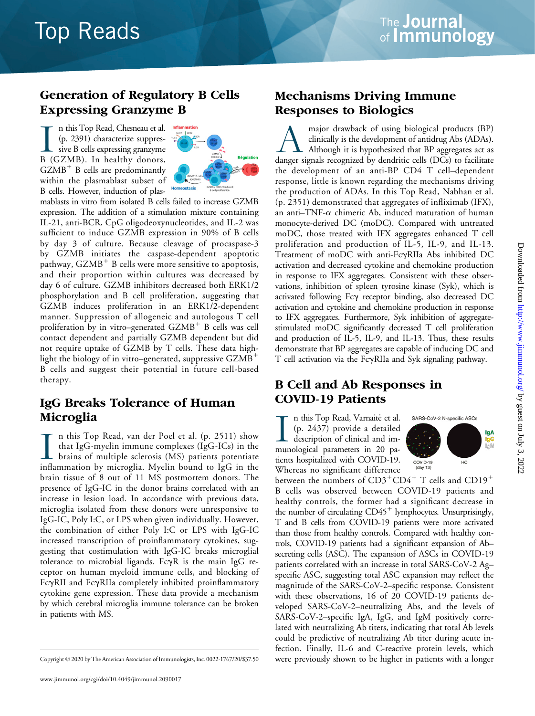# **Top Reads**

### Generation of Regulatory B Cells Expressing Granzyme B

In this Top Read, Chesneau et al.<br>
(p. 2391) characterize suppres-<br>
sive B cells expressing granzyme<br>
B (GZMB). In healthy donors, n this Top Read, Chesneau et al. (p. 2391) characterize suppressive B cells expressing granzyme  $GZMB<sup>+</sup>$  B cells are predominantly within the plasmablast subset of B cells. However, induction of plas-



mablasts in vitro from isolated B cells failed to increase GZMB expression. The addition of a stimulation mixture containing IL-21, anti-BCR, CpG oligodeoxynucleotides, and IL-2 was sufficient to induce GZMB expression in 90% of B cells by day 3 of culture. Because cleavage of procaspase-3 by GZMB initiates the caspase-dependent apoptotic pathway,  $GZMB<sup>+</sup>$  B cells were more sensitive to apoptosis, and their proportion within cultures was decreased by day 6 of culture. GZMB inhibitors decreased both ERK1/2 phosphorylation and B cell proliferation, suggesting that GZMB induces proliferation in an ERK1/2-dependent manner. Suppression of allogeneic and autologous T cell proliferation by in vitro–generated  $GZMB<sup>+</sup>$  B cells was cell contact dependent and partially GZMB dependent but did not require uptake of GZMB by T cells. These data highlight the biology of in vitro–generated, suppressive  $GZMB^+$ B cells and suggest their potential in future cell-based therapy.

#### IgG Breaks Tolerance of Human Microglia

In this Top Read, van der Poel et al. (p. 2511) show<br>that IgG-myelin immune complexes (IgG-ICs) in the<br>brains of multiple sclerosis (MS) patients potentiate<br>inflammation by microglia. Myelin bound to IgG in the n this Top Read, van der Poel et al. (p. 2511) show that IgG-myelin immune complexes (IgG-ICs) in the brains of multiple sclerosis (MS) patients potentiate brain tissue of 8 out of 11 MS postmortem donors. The presence of IgG-IC in the donor brains correlated with an increase in lesion load. In accordance with previous data, microglia isolated from these donors were unresponsive to IgG-IC, Poly I:C, or LPS when given individually. However, the combination of either Poly I:C or LPS with IgG-IC increased transcription of proinflammatory cytokines, suggesting that costimulation with IgG-IC breaks microglial tolerance to microbial ligands. Fc $\gamma$ R is the main IgG receptor on human myeloid immune cells, and blocking of FcyRII and FcyRIIa completely inhibited proinflammatory cytokine gene expression. These data provide a mechanism by which cerebral microglia immune tolerance can be broken in patients with MS.

#### Mechanisms Driving Immune Responses to Biologics

major drawback of using biological products (BP)<br>clinically is the development of antidrug Abs (ADAs).<br>Although it is hypothesized that BP aggregates act as<br>danger signals recognized by dendritic cells (DCs) to facilitate clinically is the development of antidrug Abs (ADAs). Although it is hypothesized that BP aggregates act as the development of an anti-BP CD4 T cell–dependent response, little is known regarding the mechanisms driving the production of ADAs. In this Top Read, Nabhan et al. (p. 2351) demonstrated that aggregates of infliximab (IFX), an anti-TNF- $\alpha$  chimeric Ab, induced maturation of human monocyte-derived DC (moDC). Compared with untreated moDC, those treated with IFX aggregates enhanced T cell proliferation and production of IL-5, IL-9, and IL-13. Treatment of moDC with anti-FcgRIIa Abs inhibited DC activation and decreased cytokine and chemokine production in response to IFX aggregates. Consistent with these observations, inhibition of spleen tyrosine kinase (Syk), which is activated following Fcy receptor binding, also decreased DC activation and cytokine and chemokine production in response to IFX aggregates. Furthermore, Syk inhibition of aggregatestimulated moDC significantly decreased T cell proliferation and production of IL-5, IL-9, and IL-13. Thus, these results demonstrate that BP aggregates are capable of inducing DC and T cell activation via the FcyRIIa and Syk signaling pathway.

### B Cell and Ab Responses in COVID-19 Patients

In this Top Read, Varnaite et al.<br>
(p. 2437) provide a detailed<br>
description of clinical and im-<br>
munological parameters in 20 pan this Top Read, Varnaite et al. (p. 2437) provide a detailed description of clinical and imtients hospitalized with COVID-19. Whereas no significant difference SARS-CoV-2 N-specific ASCs lgA lgG<br>IgM COVID-19<br>(day 13) HC

between the numbers of  $CD3^+CD4^+$  T cells and  $CD19^+$ B cells was observed between COVID-19 patients and healthy controls, the former had a significant decrease in the number of circulating  $CD45<sup>+</sup>$  lymphocytes. Unsurprisingly, T and B cells from COVID-19 patients were more activated than those from healthy controls. Compared with healthy controls, COVID-19 patients had a significant expansion of Ab– secreting cells (ASC). The expansion of ASCs in COVID-19 patients correlated with an increase in total SARS-CoV-2 Ag– specific ASC, suggesting total ASC expansion may reflect the magnitude of the SARS-CoV-2–specific response. Consistent with these observations, 16 of 20 COVID-19 patients developed SARS-CoV-2–neutralizing Abs, and the levels of SARS-CoV-2–specific IgA, IgG, and IgM positively correlated with neutralizing Ab titers, indicating that total Ab levels could be predictive of neutralizing Ab titer during acute infection. Finally, IL-6 and C-reactive protein levels, which Copyright © 2020 by The American Association of Immunologists, Inc. 0022-1767/20/\$37.50 were previously shown to be higher in patients with a longer